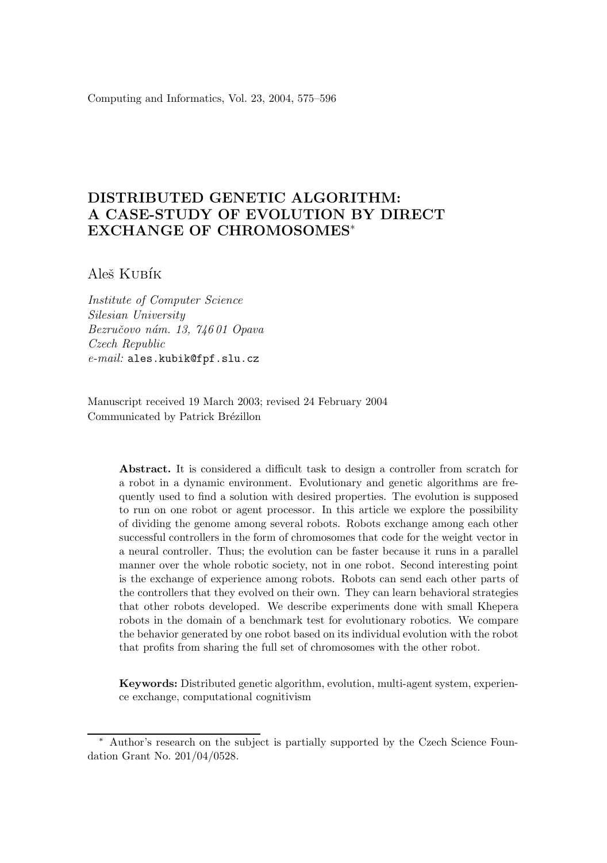Computing and Informatics, Vol. 23, 2004, 575–596

# DISTRIBUTED GENETIC ALGORITHM: A CASE-STUDY OF EVOLUTION BY DIRECT EXCHANGE OF CHROMOSOMES<sup>∗</sup>

Aleš Kubík

*Institute of Computer Science Silesian University Bezruˇcovo n´am. 13, 746 01 Opava Czech Republic e-mail:* ales.kubik@fpf.slu.cz

Manuscript received 19 March 2003; revised 24 February 2004 Communicated by Patrick Brézillon

> Abstract. It is considered a difficult task to design a controller from scratch for a robot in a dynamic environment. Evolutionary and genetic algorithms are frequently used to find a solution with desired properties. The evolution is supposed to run on one robot or agent processor. In this article we explore the possibility of dividing the genome among several robots. Robots exchange among each other successful controllers in the form of chromosomes that code for the weight vector in a neural controller. Thus; the evolution can be faster because it runs in a parallel manner over the whole robotic society, not in one robot. Second interesting point is the exchange of experience among robots. Robots can send each other parts of the controllers that they evolved on their own. They can learn behavioral strategies that other robots developed. We describe experiments done with small Khepera robots in the domain of a benchmark test for evolutionary robotics. We compare the behavior generated by one robot based on its individual evolution with the robot that profits from sharing the full set of chromosomes with the other robot.

> Keywords: Distributed genetic algorithm, evolution, multi-agent system, experience exchange, computational cognitivism

Author's research on the subject is partially supported by the Czech Science Foundation Grant No. 201/04/0528.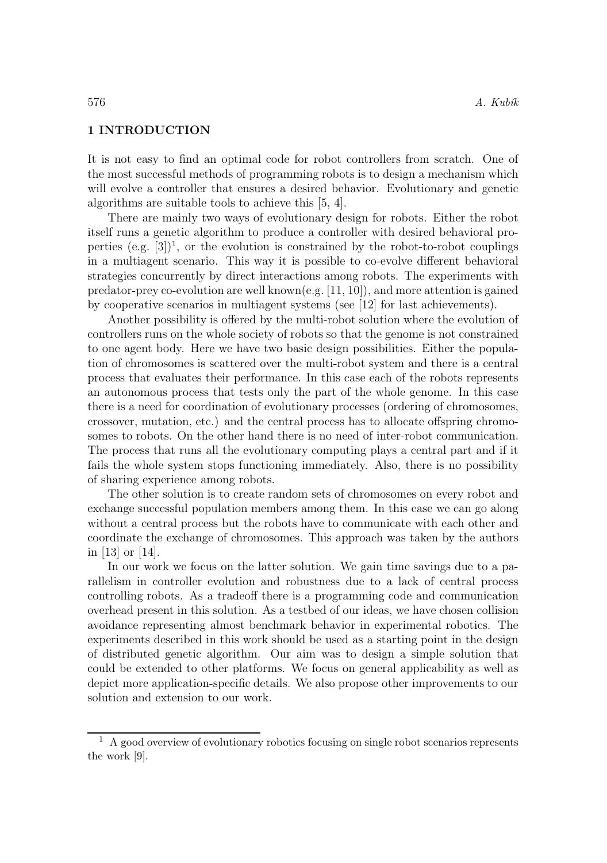## 1 INTRODUCTION

It is not easy to find an optimal code for robot controllers from scratch. One of the most successful methods of programming robots is to design a mechanism which will evolve a controller that ensures a desired behavior. Evolutionary and genetic algorithms are suitable tools to achieve this [5, 4].

There are mainly two ways of evolutionary design for robots. Either the robot itself runs a genetic algorithm to produce a controller with desired behavioral properties  $(e.g. [3])<sup>1</sup>$ , or the evolution is constrained by the robot-to-robot couplings in a multiagent scenario. This way it is possible to co-evolve different behavioral strategies concurrently by direct interactions among robots. The experiments with predator-prey co-evolution are well known(e.g. [11, 10]), and more attention is gained by cooperative scenarios in multiagent systems (see [12] for last achievements).

Another possibility is offered by the multi-robot solution where the evolution of controllers runs on the whole society of robots so that the genome is not constrained to one agent body. Here we have two basic design possibilities. Either the population of chromosomes is scattered over the multi-robot system and there is a central process that evaluates their performance. In this case each of the robots represents an autonomous process that tests only the part of the whole genome. In this case there is a need for coordination of evolutionary processes (ordering of chromosomes, crossover, mutation, etc.) and the central process has to allocate offspring chromosomes to robots. On the other hand there is no need of inter-robot communication. The process that runs all the evolutionary computing plays a central part and if it fails the whole system stops functioning immediately. Also, there is no possibility of sharing experience among robots.

The other solution is to create random sets of chromosomes on every robot and exchange successful population members among them. In this case we can go along without a central process but the robots have to communicate with each other and coordinate the exchange of chromosomes. This approach was taken by the authors in [13] or [14].

In our work we focus on the latter solution. We gain time savings due to a parallelism in controller evolution and robustness due to a lack of central process controlling robots. As a tradeoff there is a programming code and communication overhead present in this solution. As a testbed of our ideas, we have chosen collision avoidance representing almost benchmark behavior in experimental robotics. The experiments described in this work should be used as a starting point in the design of distributed genetic algorithm. Our aim was to design a simple solution that could be extended to other platforms. We focus on general applicability as well as depict more application-specific details. We also propose other improvements to our solution and extension to our work.

<sup>1</sup> A good overview of evolutionary robotics focusing on single robot scenarios represents the work [9].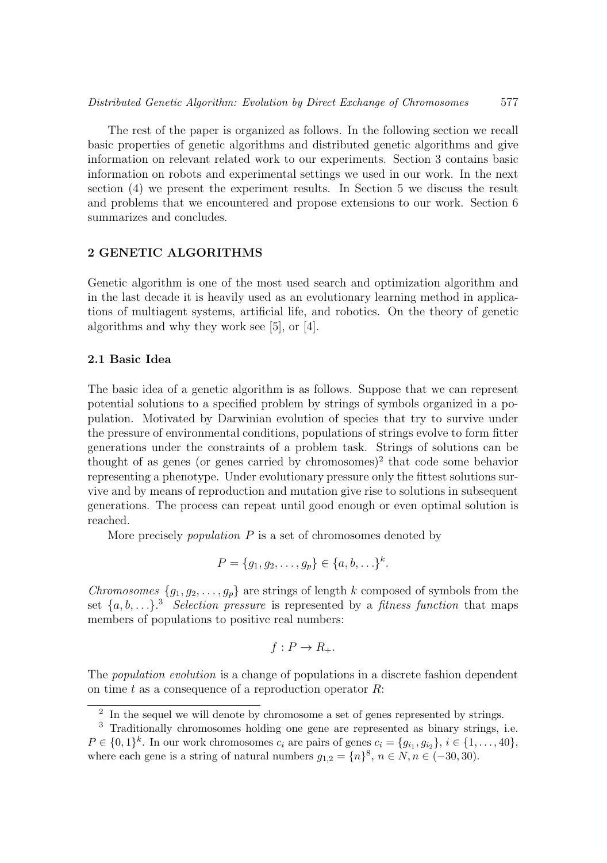The rest of the paper is organized as follows. In the following section we recall basic properties of genetic algorithms and distributed genetic algorithms and give information on relevant related work to our experiments. Section 3 contains basic information on robots and experimental settings we used in our work. In the next section (4) we present the experiment results. In Section 5 we discuss the result and problems that we encountered and propose extensions to our work. Section 6 summarizes and concludes.

# 2 GENETIC ALGORITHMS

Genetic algorithm is one of the most used search and optimization algorithm and in the last decade it is heavily used as an evolutionary learning method in applications of multiagent systems, artificial life, and robotics. On the theory of genetic algorithms and why they work see [5], or [4].

# 2.1 Basic Idea

The basic idea of a genetic algorithm is as follows. Suppose that we can represent potential solutions to a specified problem by strings of symbols organized in a population. Motivated by Darwinian evolution of species that try to survive under the pressure of environmental conditions, populations of strings evolve to form fitter generations under the constraints of a problem task. Strings of solutions can be thought of as genes (or genes carried by chromosomes)<sup>2</sup> that code some behavior representing a phenotype. Under evolutionary pressure only the fittest solutions survive and by means of reproduction and mutation give rise to solutions in subsequent generations. The process can repeat until good enough or even optimal solution is reached.

More precisely *population* P is a set of chromosomes denoted by

$$
P = \{g_1, g_2, \dots, g_p\} \in \{a, b, \dots\}^k.
$$

*Chromosomes*  $\{g_1, g_2, \ldots, g_p\}$  are strings of length k composed of symbols from the set  $\{a, b, \ldots\}$ <sup>3</sup> *Selection pressure* is represented by a *fitness function* that maps members of populations to positive real numbers:

$$
f: P \to R_+.
$$

The *population evolution* is a change of populations in a discrete fashion dependent on time t as a consequence of a reproduction operator  $R$ :

<sup>2</sup> In the sequel we will denote by chromosome a set of genes represented by strings.

<sup>3</sup> Traditionally chromosomes holding one gene are represented as binary strings, i.e.  $P \in \{0,1\}^k$ . In our work chromosomes  $c_i$  are pairs of genes  $c_i = \{g_{i_1}, g_{i_2}\}, i \in \{1, ..., 40\}$ , where each gene is a string of natural numbers  $g_{1,2} = \{n\}^8$ ,  $n \in N$ ,  $n \in (-30, 30)$ .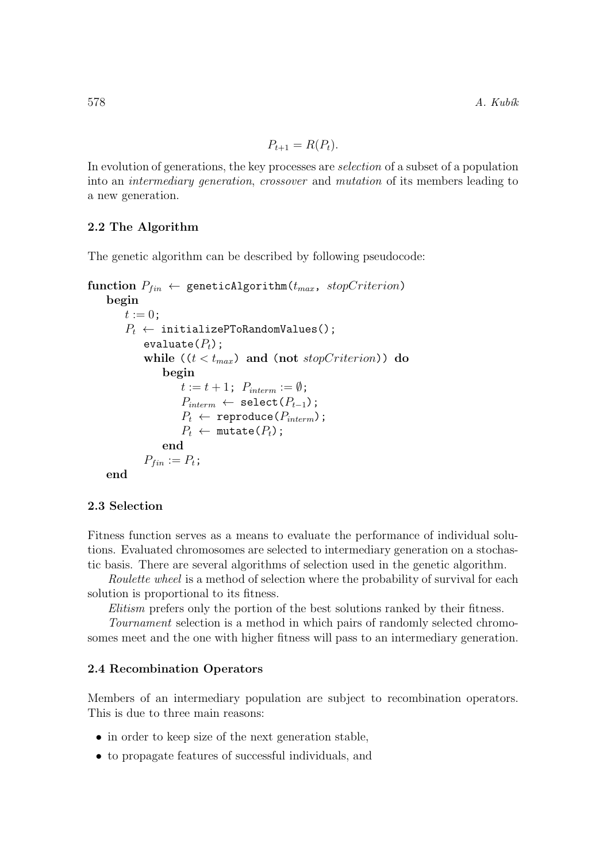$$
P_{t+1} = R(P_t).
$$

In evolution of generations, the key processes are *selection* of a subset of a population into an *intermediary generation*, *crossover* and *mutation* of its members leading to a new generation.

# 2.2 The Algorithm

The genetic algorithm can be described by following pseudocode:

```
function P_{fin} \leftarrow geneticAlgorithm(t_{max}, stopCriterion)
    begin
        t := 0;P_t \leftarrow initializePToRandomValues();
             evaluate(P_t);
             while ((t < t_{max}) and (not stopCriterion)) do
                 begin
                     t := t + 1; P_{interm} := \emptyset;P_{interm} \leftarrow \texttt{select}(P_{t-1});P_t \leftarrow reproduce(P_{interm});
                     P_t \leftarrow \text{mutate}(P_t);end
            P_{fin} := P_t;end
```
# 2.3 Selection

Fitness function serves as a means to evaluate the performance of individual solutions. Evaluated chromosomes are selected to intermediary generation on a stochastic basis. There are several algorithms of selection used in the genetic algorithm.

*Roulette wheel* is a method of selection where the probability of survival for each solution is proportional to its fitness.

*Elitism* prefers only the portion of the best solutions ranked by their fitness.

*Tournament* selection is a method in which pairs of randomly selected chromosomes meet and the one with higher fitness will pass to an intermediary generation.

#### 2.4 Recombination Operators

Members of an intermediary population are subject to recombination operators. This is due to three main reasons:

- in order to keep size of the next generation stable,
- to propagate features of successful individuals, and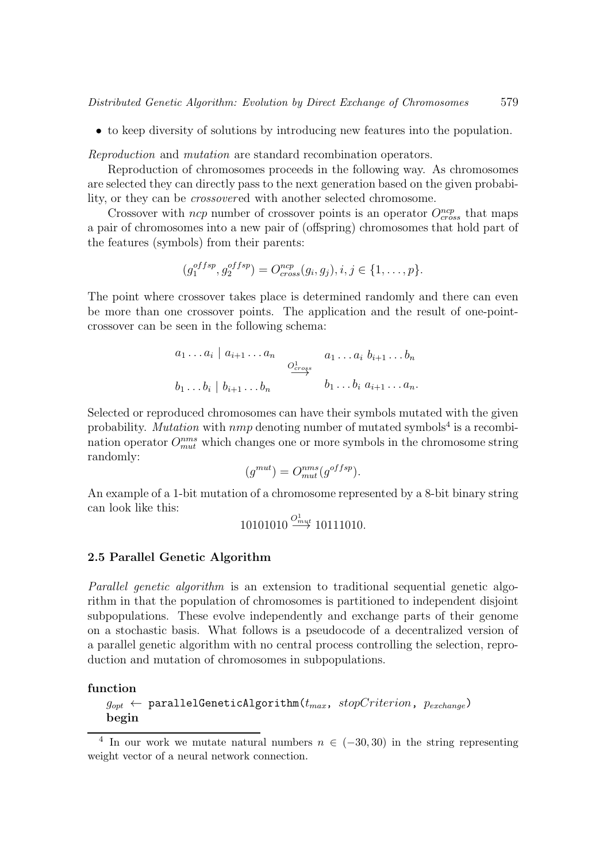• to keep diversity of solutions by introducing new features into the population.

*Reproduction* and *mutation* are standard recombination operators.

Reproduction of chromosomes proceeds in the following way. As chromosomes are selected they can directly pass to the next generation based on the given probability, or they can be *crossover*ed with another selected chromosome.

Crossover with  $ncp$  number of crossover points is an operator  $O_{cross}^{ncp}$  that maps a pair of chromosomes into a new pair of (offspring) chromosomes that hold part of the features (symbols) from their parents:

$$
(g_1^{offsp}, g_2^{offsp}) = O_{cross}^{ncp}(g_i, g_j), i, j \in \{1, ..., p\}.
$$

The point where crossover takes place is determined randomly and there can even be more than one crossover points. The application and the result of one-pointcrossover can be seen in the following schema:

$$
a_1 \ldots a_i | a_{i+1} \ldots a_n
$$
  
\n $\underbrace{o_{cross}^1}_{b_1 \ldots b_i | b_{i+1} \ldots b_n}$   
\n $a_1 \ldots a_i b_{i+1} \ldots b_n$   
\n $b_1 \ldots b_i a_{i+1} \ldots a_n$ 

Selected or reproduced chromosomes can have their symbols mutated with the given probability. *Mutation* with  $nmp$  denoting number of mutated symbols<sup>4</sup> is a recombination operator  $O_{mut}^{nms}$  which changes one or more symbols in the chromosome string randomly:

$$
(g^{mut}) = O^{nms}_{mut}(g^{offsp}).
$$

An example of a 1-bit mutation of a chromosome represented by a 8-bit binary string can look like this:

$$
10101010 \stackrel{O^1_{\text{mut}}}{\longrightarrow} 10111010.
$$

#### 2.5 Parallel Genetic Algorithm

*Parallel genetic algorithm* is an extension to traditional sequential genetic algorithm in that the population of chromosomes is partitioned to independent disjoint subpopulations. These evolve independently and exchange parts of their genome on a stochastic basis. What follows is a pseudocode of a decentralized version of a parallel genetic algorithm with no central process controlling the selection, reproduction and mutation of chromosomes in subpopulations.

## function

```
g_{opt} \leftarrow parallelGeneticAlgorithm(t_{max}, stopCriterion, p_{exchange})
begin
```
<sup>4</sup> In our work we mutate natural numbers  $n \in (-30, 30)$  in the string representing weight vector of a neural network connection.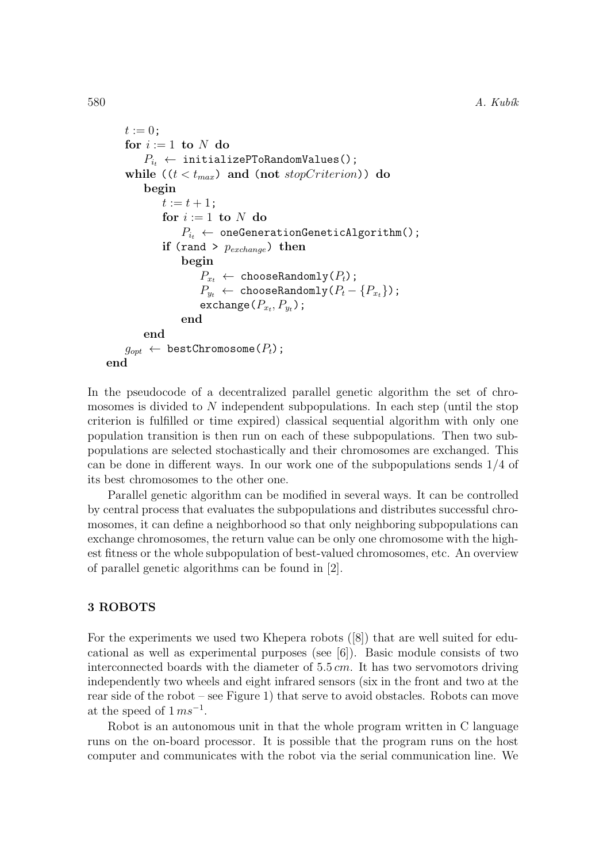```
t := 0:
    for i := 1 to N do
        P_{i_t} \leftarrow initializePToRandomValues();
    while ((t < t_{max}) and (not stopCriterion)) do
        begin
             t := t + 1;for i := 1 to N do
                 P_{i_t} \leftarrow oneGenerationGeneticAlgorithm();
             if (rand > p_{exchange}) then
                 begin
                      P_{x_t} \leftarrow chooseRandomly(P_t);
                     P_{y_t} \leftarrow \text{chooseRandomly}(P_t - \{P_{x_t}\});
                      \mathsf{exchange}\left(P_{x_t}, P_{y_t}\right) ;
                 end
        end
    g_{opt} \leftarrow bestChromosome(P_t);
end
```
In the pseudocode of a decentralized parallel genetic algorithm the set of chromosomes is divided to N independent subpopulations. In each step (until the stop criterion is fulfilled or time expired) classical sequential algorithm with only one population transition is then run on each of these subpopulations. Then two subpopulations are selected stochastically and their chromosomes are exchanged. This can be done in different ways. In our work one of the subpopulations sends 1/4 of its best chromosomes to the other one.

Parallel genetic algorithm can be modified in several ways. It can be controlled by central process that evaluates the subpopulations and distributes successful chromosomes, it can define a neighborhood so that only neighboring subpopulations can exchange chromosomes, the return value can be only one chromosome with the highest fitness or the whole subpopulation of best-valued chromosomes, etc. An overview of parallel genetic algorithms can be found in [2].

## 3 ROBOTS

For the experiments we used two Khepera robots ([8]) that are well suited for educational as well as experimental purposes (see  $(6)$ ). Basic module consists of two interconnected boards with the diameter of  $5.5 \, \text{cm}$ . It has two servomotors driving independently two wheels and eight infrared sensors (six in the front and two at the rear side of the robot – see Figure 1) that serve to avoid obstacles. Robots can move at the speed of  $1 \, m s^{-1}$ .

Robot is an autonomous unit in that the whole program written in C language runs on the on-board processor. It is possible that the program runs on the host computer and communicates with the robot via the serial communication line. We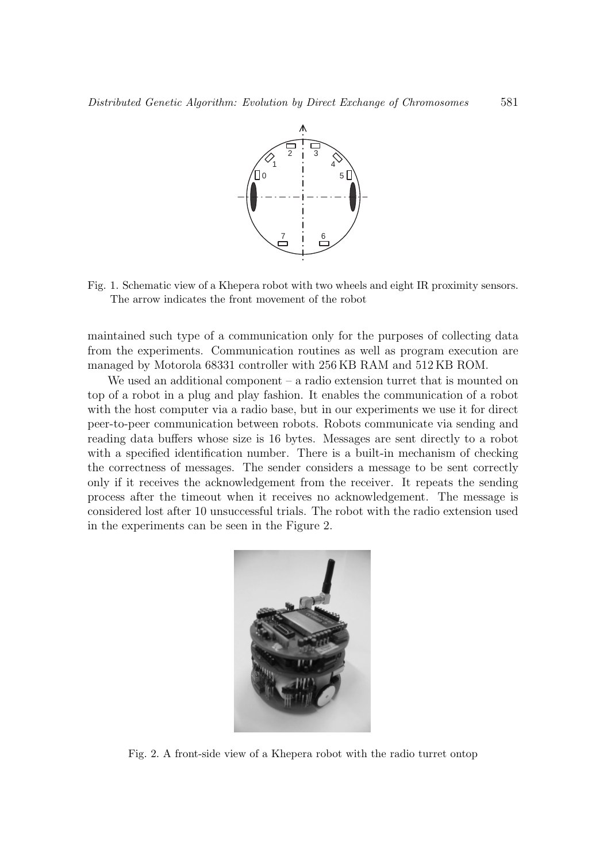

Fig. 1. Schematic view of a Khepera robot with two wheels and eight IR proximity sensors. The arrow indicates the front movement of the robot

maintained such type of a communication only for the purposes of collecting data from the experiments. Communication routines as well as program execution are managed by Motorola 68331 controller with 256 KB RAM and 512 KB ROM.

We used an additional component – a radio extension turret that is mounted on top of a robot in a plug and play fashion. It enables the communication of a robot with the host computer via a radio base, but in our experiments we use it for direct peer-to-peer communication between robots. Robots communicate via sending and reading data buffers whose size is 16 bytes. Messages are sent directly to a robot with a specified identification number. There is a built-in mechanism of checking the correctness of messages. The sender considers a message to be sent correctly only if it receives the acknowledgement from the receiver. It repeats the sending process after the timeout when it receives no acknowledgement. The message is considered lost after 10 unsuccessful trials. The robot with the radio extension used in the experiments can be seen in the Figure 2.



Fig. 2. A front-side view of a Khepera robot with the radio turret ontop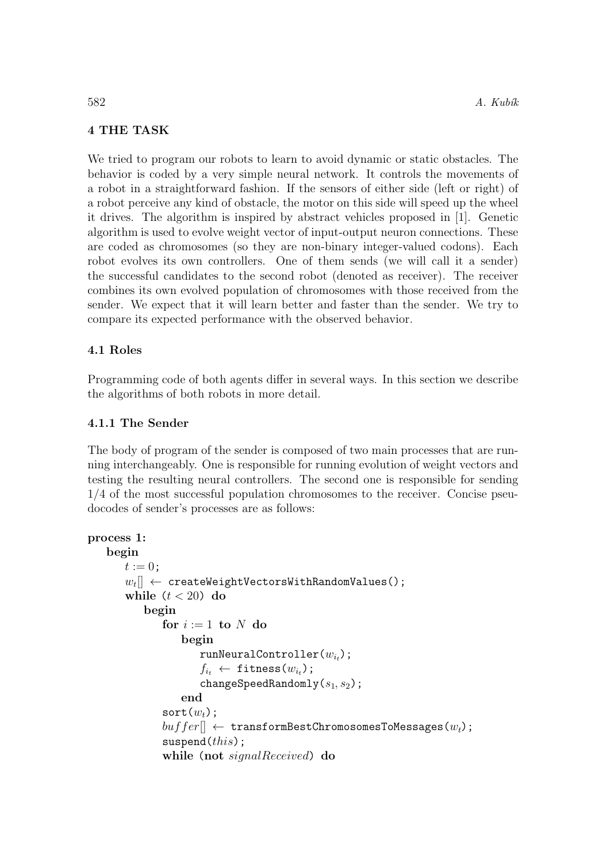# 4 THE TASK

We tried to program our robots to learn to avoid dynamic or static obstacles. The behavior is coded by a very simple neural network. It controls the movements of a robot in a straightforward fashion. If the sensors of either side (left or right) of a robot perceive any kind of obstacle, the motor on this side will speed up the wheel it drives. The algorithm is inspired by abstract vehicles proposed in [1]. Genetic algorithm is used to evolve weight vector of input-output neuron connections. These are coded as chromosomes (so they are non-binary integer-valued codons). Each robot evolves its own controllers. One of them sends (we will call it a sender) the successful candidates to the second robot (denoted as receiver). The receiver combines its own evolved population of chromosomes with those received from the sender. We expect that it will learn better and faster than the sender. We try to compare its expected performance with the observed behavior.

# 4.1 Roles

Programming code of both agents differ in several ways. In this section we describe the algorithms of both robots in more detail.

# 4.1.1 The Sender

The body of program of the sender is composed of two main processes that are running interchangeably. One is responsible for running evolution of weight vectors and testing the resulting neural controllers. The second one is responsible for sending 1/4 of the most successful population chromosomes to the receiver. Concise pseudocodes of sender's processes are as follows:

```
process 1:
   begin
       t := 0:
        \left[w_t[\right] \leftarrow \texttt{createWeightVectorsWithRandomValues}() ;
       while (t < 20) do
           begin
               for i := 1 to N do
                   begin
                       runNeuralController(w_{i_k});
                       f_{i_t} \leftarrow fitness(w_{i_t});
                       changeSpeedRandomly(s_1, s_2);
                   end
               sort(w_t):
               buffer[] \leftarrow transformBestChromosomesToMessages(w_t);suspend(this);
               while (not signalReceived) do
```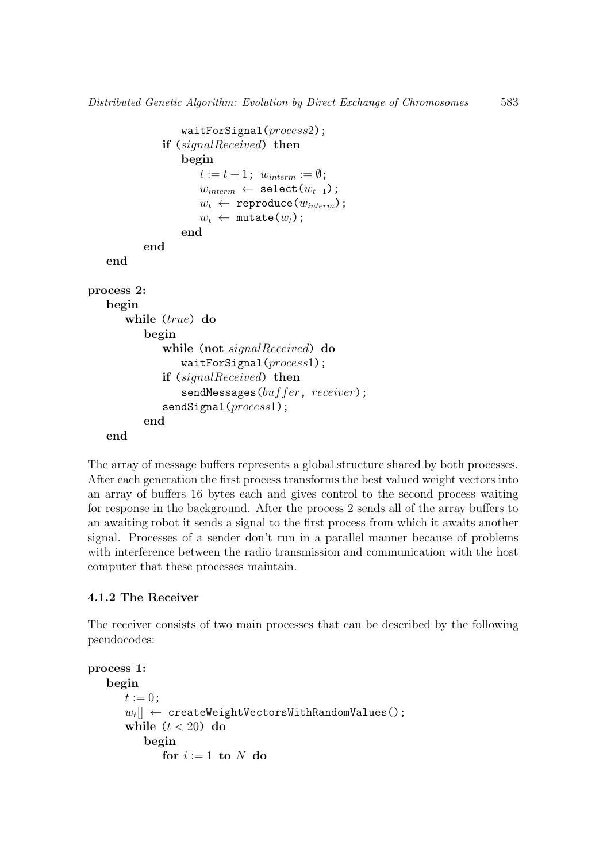```
waitForSignal(process2);
               if (signalReceived) then
                   begin
                      t := t + 1; w_{interm} := \emptyset;
                      w_{interm} \leftarrow \texttt{select}(w_{t-1});w_t \leftarrow reproduce(w_{interm});
                      w_t \leftarrow \text{mutate}(w_t);end
           end
   end
process 2:
   begin
       while (true) do
           begin
               while (not signalReceived) do
                   waitForSignal(process1);
               if (signalReceived) then
                   sendMessages(buffer, receiver);sendSignal(process1);
           end
   end
```
The array of message buffers represents a global structure shared by both processes. After each generation the first process transforms the best valued weight vectors into an array of buffers 16 bytes each and gives control to the second process waiting for response in the background. After the process 2 sends all of the array buffers to an awaiting robot it sends a signal to the first process from which it awaits another signal. Processes of a sender don't run in a parallel manner because of problems with interference between the radio transmission and communication with the host computer that these processes maintain.

# 4.1.2 The Receiver

The receiver consists of two main processes that can be described by the following pseudocodes:

```
process 1:
    begin
        t := 0;\left[w_t[\right] \leftarrow \texttt{createWeightVectorsWithRandomValues()} ;
        while (t < 20) do
            begin
                for i := 1 to N do
```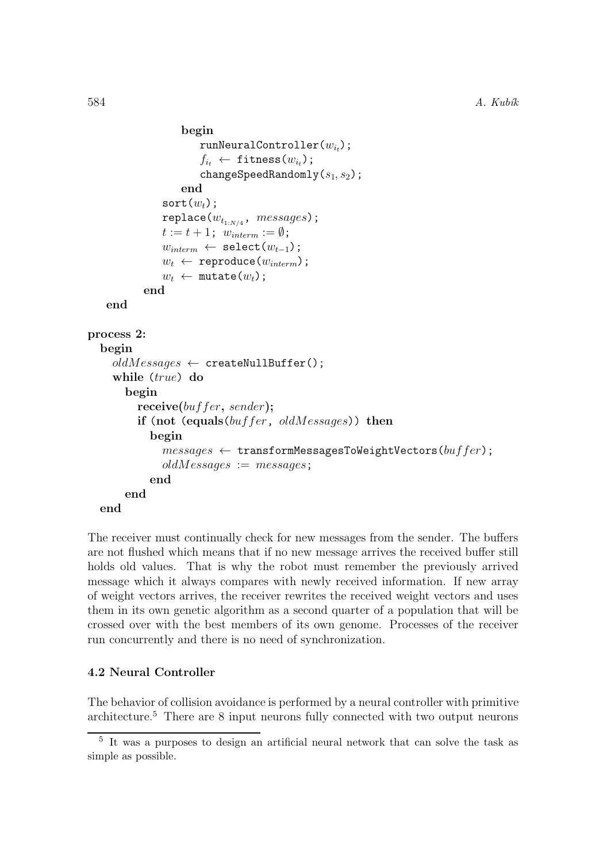```
begin
                        runNeuralController(w_{i_t});
                        f_{i_t} \leftarrow fitness(w_{i_t});
                        changeSpeedRandomly(s_1, s_2);
                    end
                sort(w_t);
                \texttt{replace}(w_{t_{1:N/4}},~\mathit{messages}) ;
                t := t + 1; w_{interm} := \emptyset;
                w_{interm} \leftarrow \texttt{select}(w_{t-1});w_t \leftarrow reproduce(w_{interm});
                w_t \leftarrow \text{mutate}(w_t);end
    end
process 2:
  begin
     oldMessages \leftarrow \texttt{createNullBuffer();}while (true) do
        begin
           receive(buffer, sender);
           if (not (equals(buffer, oldMessages)) then
             begin
                messages \leftarrow transformMessageSToWeightVectors(buffer);oldMessages := messages;end
        end
  end
```
The receiver must continually check for new messages from the sender. The buffers are not flushed which means that if no new message arrives the received buffer still holds old values. That is why the robot must remember the previously arrived message which it always compares with newly received information. If new array of weight vectors arrives, the receiver rewrites the received weight vectors and uses them in its own genetic algorithm as a second quarter of a population that will be crossed over with the best members of its own genome. Processes of the receiver run concurrently and there is no need of synchronization.

# 4.2 Neural Controller

The behavior of collision avoidance is performed by a neural controller with primitive architecture.<sup>5</sup> There are 8 input neurons fully connected with two output neurons

<sup>5</sup> It was a purposes to design an artificial neural network that can solve the task as simple as possible.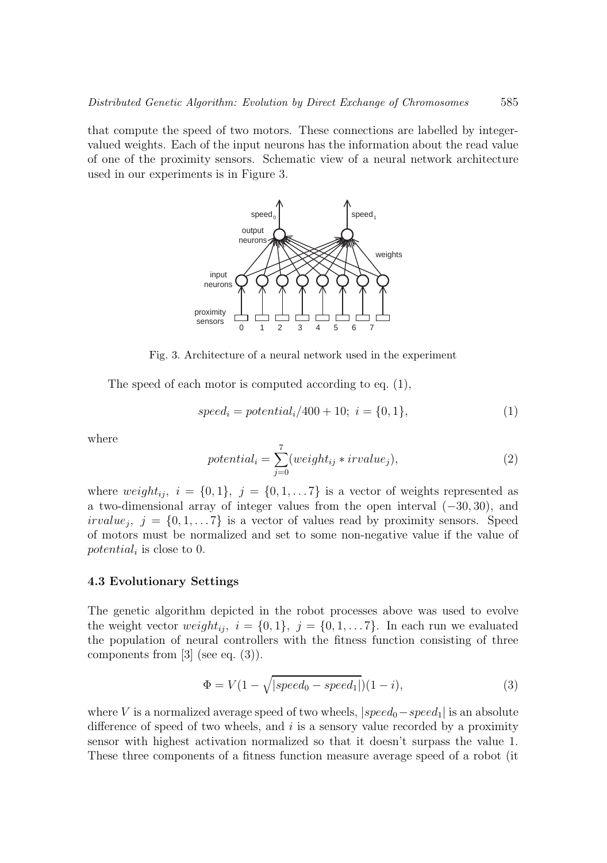that compute the speed of two motors. These connections are labelled by integervalued weights. Each of the input neurons has the information about the read value of one of the proximity sensors. Schematic view of a neural network architecture used in our experiments is in Figure 3.



Fig. 3. Architecture of a neural network used in the experiment

The speed of each motor is computed according to eq. (1),

$$
speed_i = potential_i/400 + 10; \ i = \{0, 1\},\tag{1}
$$

where

$$
potential_i = \sum_{j=0}^{7} (weight_{ij} * irvalue_j),
$$
\n(2)

where weight<sub>ij</sub>,  $i = \{0, 1\}$ ,  $j = \{0, 1, \ldots 7\}$  is a vector of weights represented as a two-dimensional array of integer values from the open interval (−30, 30), and irvalue<sub>j</sub>,  $j = \{0, 1, \ldots 7\}$  is a vector of values read by proximity sensors. Speed of motors must be normalized and set to some non-negative value if the value of potential<sub>i</sub> is close to 0.

## 4.3 Evolutionary Settings

The genetic algorithm depicted in the robot processes above was used to evolve the weight vector  $weight_{ij}$ ,  $i = \{0, 1\}$ ,  $j = \{0, 1, \ldots 7\}$ . In each run we evaluated the population of neural controllers with the fitness function consisting of three components from [3] (see eq. (3)).

$$
\Phi = V(1 - \sqrt{|speed_0 - speed_1|})(1 - i),\tag{3}
$$

where V is a normalized average speed of two wheels,  $|speed_0 - speed_1|$  is an absolute difference of speed of two wheels, and  $i$  is a sensory value recorded by a proximity sensor with highest activation normalized so that it doesn't surpass the value 1. These three components of a fitness function measure average speed of a robot (it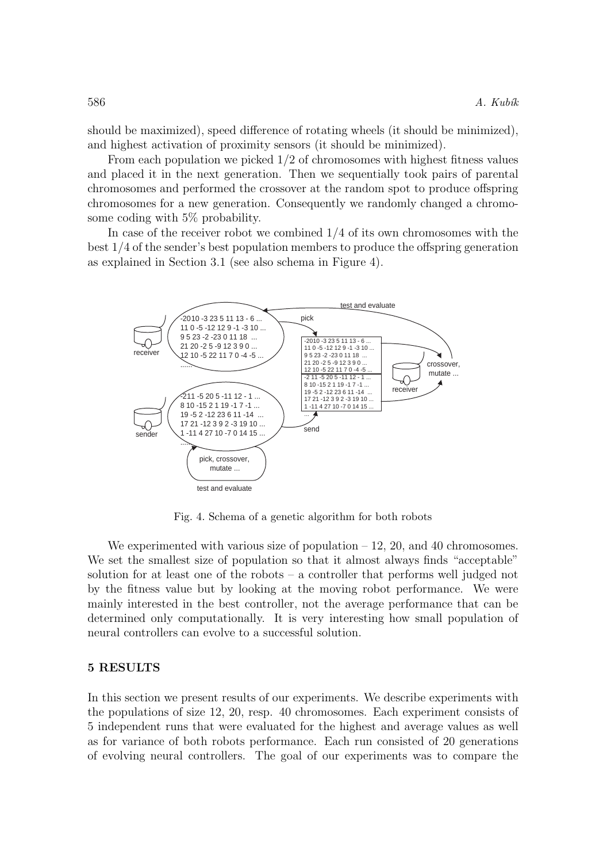should be maximized), speed difference of rotating wheels (it should be minimized), and highest activation of proximity sensors (it should be minimized).

From each population we picked 1/2 of chromosomes with highest fitness values and placed it in the next generation. Then we sequentially took pairs of parental chromosomes and performed the crossover at the random spot to produce offspring chromosomes for a new generation. Consequently we randomly changed a chromosome coding with 5% probability.

In case of the receiver robot we combined 1/4 of its own chromosomes with the best 1/4 of the sender's best population members to produce the offspring generation as explained in Section 3.1 (see also schema in Figure 4).



Fig. 4. Schema of a genetic algorithm for both robots

We experimented with various size of population  $-12$ , 20, and 40 chromosomes. We set the smallest size of population so that it almost always finds "acceptable" solution for at least one of the robots – a controller that performs well judged not by the fitness value but by looking at the moving robot performance. We were mainly interested in the best controller, not the average performance that can be determined only computationally. It is very interesting how small population of neural controllers can evolve to a successful solution.

## 5 RESULTS

In this section we present results of our experiments. We describe experiments with the populations of size 12, 20, resp. 40 chromosomes. Each experiment consists of 5 independent runs that were evaluated for the highest and average values as well as for variance of both robots performance. Each run consisted of 20 generations of evolving neural controllers. The goal of our experiments was to compare the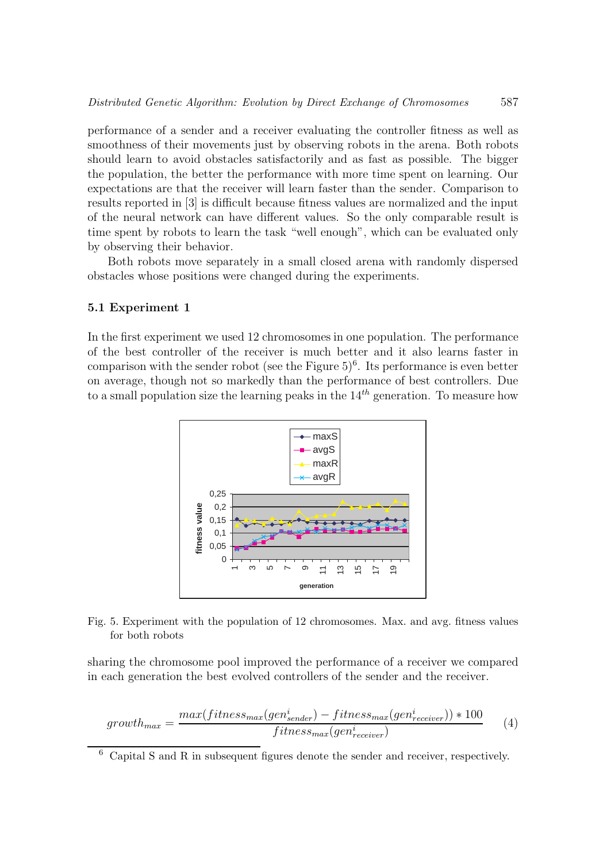performance of a sender and a receiver evaluating the controller fitness as well as smoothness of their movements just by observing robots in the arena. Both robots should learn to avoid obstacles satisfactorily and as fast as possible. The bigger the population, the better the performance with more time spent on learning. Our expectations are that the receiver will learn faster than the sender. Comparison to results reported in [3] is difficult because fitness values are normalized and the input of the neural network can have different values. So the only comparable result is time spent by robots to learn the task "well enough", which can be evaluated only by observing their behavior.

Both robots move separately in a small closed arena with randomly dispersed obstacles whose positions were changed during the experiments.

## 5.1 Experiment 1

In the first experiment we used 12 chromosomes in one population. The performance of the best controller of the receiver is much better and it also learns faster in comparison with the sender robot (see the Figure  $5)^6$ . Its performance is even better on average, though not so markedly than the performance of best controllers. Due to a small population size the learning peaks in the  $14<sup>th</sup>$  generation. To measure how



Fig. 5. Experiment with the population of 12 chromosomes. Max. and avg. fitness values for both robots

sharing the chromosome pool improved the performance of a receiver we compared in each generation the best evolved controllers of the sender and the receiver.

$$
growth_{max} = \frac{max(fitness_{max}(gen_{sender}^i) - fitness_{max}(gen_{receiver}^i)) * 100}{fitness_{max}(gen_{receiver}^i)} \tag{4}
$$

<sup>6</sup> Capital S and R in subsequent figures denote the sender and receiver, respectively.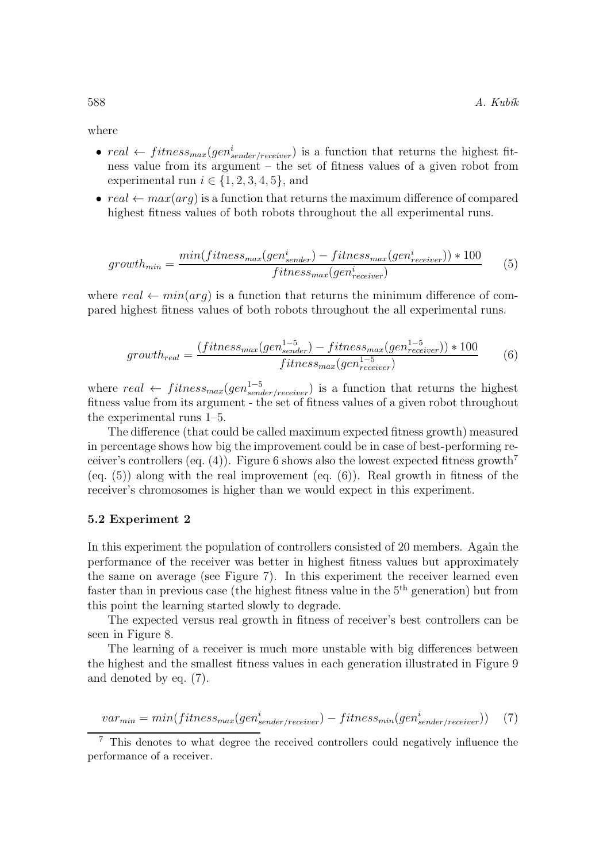where

- $real \leftarrow fitness_{max}(gen_{sender/receiver}^i)$  is a function that returns the highest fitness value from its argument – the set of fitness values of a given robot from experimental run  $i \in \{1, 2, 3, 4, 5\}$ , and
- $real \leftarrow max(arg)$  is a function that returns the maximum difference of compared highest fitness values of both robots throughout the all experimental runs.

$$
growth_{min} = \frac{min(fitness_{max}(gen_{sender}^i) - fitness_{max}(gen_{receiver}^i)) * 100}{fitness_{max}(gen_{receiver}^i)} \tag{5}
$$

where real  $\leftarrow min(ara)$  is a function that returns the minimum difference of compared highest fitness values of both robots throughout the all experimental runs.

$$
growth_{real} = \frac{(fitness_{max}(gen_{sendr}^{1-5}) - fitness_{max}(gen_{receiver}^{1-5})) * 100}{fitness_{max}(gen_{receiver}^{1-5})}
$$
(6)

where  $real \leftarrow fitness_{max}(gen_{sender/receiver}^{1-5})$  is a function that returns the highest fitness value from its argument - the set of fitness values of a given robot throughout the experimental runs 1–5.

The difference (that could be called maximum expected fitness growth) measured in percentage shows how big the improvement could be in case of best-performing receiver's controllers (eq. (4)). Figure 6 shows also the lowest expected fitness growth<sup>7</sup> (eq.  $(5)$ ) along with the real improvement (eq.  $(6)$ ). Real growth in fitness of the receiver's chromosomes is higher than we would expect in this experiment.

#### 5.2 Experiment 2

In this experiment the population of controllers consisted of 20 members. Again the performance of the receiver was better in highest fitness values but approximately the same on average (see Figure 7). In this experiment the receiver learned even faster than in previous case (the highest fitness value in the 5<sup>th</sup> generation) but from this point the learning started slowly to degrade.

The expected versus real growth in fitness of receiver's best controllers can be seen in Figure 8.

The learning of a receiver is much more unstable with big differences between the highest and the smallest fitness values in each generation illustrated in Figure 9 and denoted by eq. (7).

$$
var_{min} = min(fitness_{max}(gen_{sender/receiver}^{i}) - fitness_{min}(gen_{sender/receiver}^{i}))
$$
 (7)

<sup>7</sup> This denotes to what degree the received controllers could negatively influence the performance of a receiver.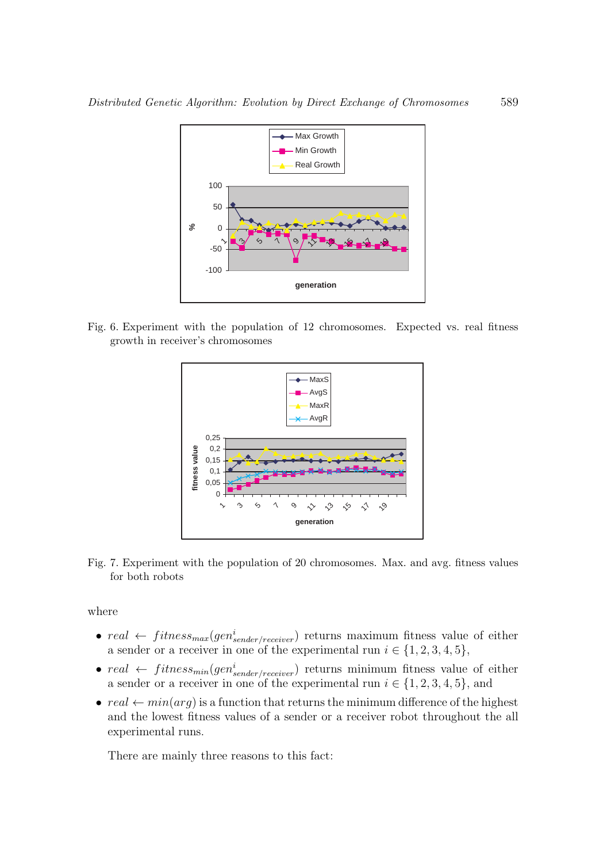

Fig. 6. Experiment with the population of 12 chromosomes. Expected vs. real fitness growth in receiver's chromosomes



Fig. 7. Experiment with the population of 20 chromosomes. Max. and avg. fitness values for both robots

where

- $real \leftarrow fitness_{max}(gen_{sender/receiver}^i)$  returns maximum fitness value of either a sender or a receiver in one of the experimental run  $i \in \{1, 2, 3, 4, 5\}$ ,
- $real \leftarrow fitness_{min}(gen_{sender/receiver}^i)$  returns minimum fitness value of either a sender or a receiver in one of the experimental run  $i \in \{1, 2, 3, 4, 5\}$ , and
- $real \leftarrow min(arg)$  is a function that returns the minimum difference of the highest and the lowest fitness values of a sender or a receiver robot throughout the all experimental runs.

There are mainly three reasons to this fact: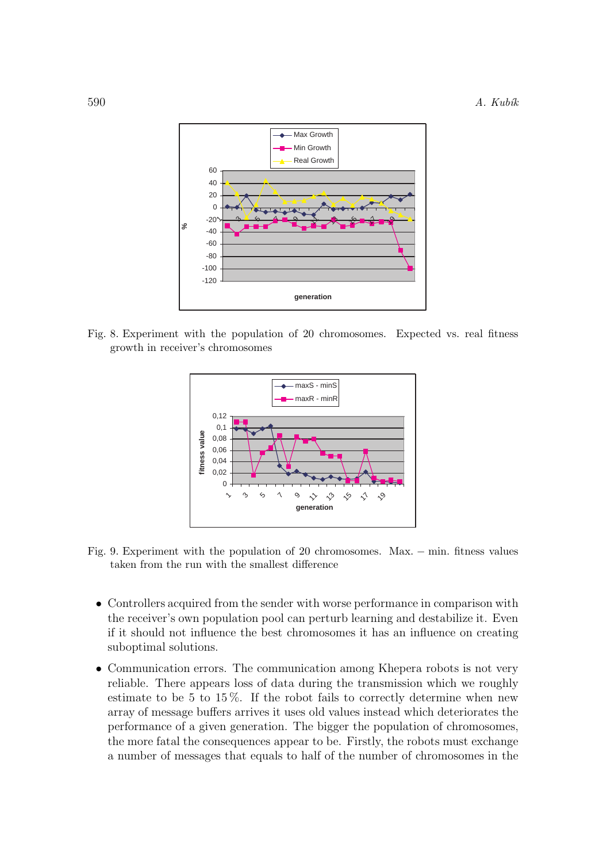

Fig. 8. Experiment with the population of 20 chromosomes. Expected vs. real fitness growth in receiver's chromosomes



Fig. 9. Experiment with the population of 20 chromosomes. Max. − min. fitness values taken from the run with the smallest difference

- Controllers acquired from the sender with worse performance in comparison with the receiver's own population pool can perturb learning and destabilize it. Even if it should not influence the best chromosomes it has an influence on creating suboptimal solutions.
- Communication errors. The communication among Khepera robots is not very reliable. There appears loss of data during the transmission which we roughly estimate to be 5 to 15 %. If the robot fails to correctly determine when new array of message buffers arrives it uses old values instead which deteriorates the performance of a given generation. The bigger the population of chromosomes, the more fatal the consequences appear to be. Firstly, the robots must exchange a number of messages that equals to half of the number of chromosomes in the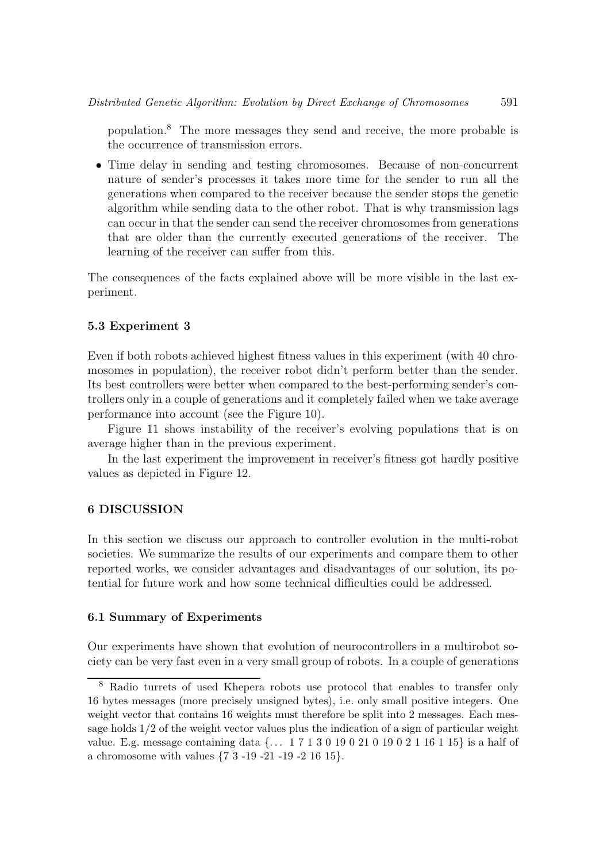population.<sup>8</sup> The more messages they send and receive, the more probable is the occurrence of transmission errors.

• Time delay in sending and testing chromosomes. Because of non-concurrent nature of sender's processes it takes more time for the sender to run all the generations when compared to the receiver because the sender stops the genetic algorithm while sending data to the other robot. That is why transmission lags can occur in that the sender can send the receiver chromosomes from generations that are older than the currently executed generations of the receiver. The learning of the receiver can suffer from this.

The consequences of the facts explained above will be more visible in the last experiment.

## 5.3 Experiment 3

Even if both robots achieved highest fitness values in this experiment (with 40 chromosomes in population), the receiver robot didn't perform better than the sender. Its best controllers were better when compared to the best-performing sender's controllers only in a couple of generations and it completely failed when we take average performance into account (see the Figure 10).

Figure 11 shows instability of the receiver's evolving populations that is on average higher than in the previous experiment.

In the last experiment the improvement in receiver's fitness got hardly positive values as depicted in Figure 12.

## 6 DISCUSSION

In this section we discuss our approach to controller evolution in the multi-robot societies. We summarize the results of our experiments and compare them to other reported works, we consider advantages and disadvantages of our solution, its potential for future work and how some technical difficulties could be addressed.

## 6.1 Summary of Experiments

Our experiments have shown that evolution of neurocontrollers in a multirobot society can be very fast even in a very small group of robots. In a couple of generations

<sup>8</sup> Radio turrets of used Khepera robots use protocol that enables to transfer only 16 bytes messages (more precisely unsigned bytes), i.e. only small positive integers. One weight vector that contains 16 weights must therefore be split into 2 messages. Each message holds 1/2 of the weight vector values plus the indication of a sign of particular weight value. E.g. message containing data {. . . 1 7 1 3 0 19 0 21 0 19 0 2 1 16 1 15} is a half of a chromosome with values {7 3 -19 -21 -19 -2 16 15}.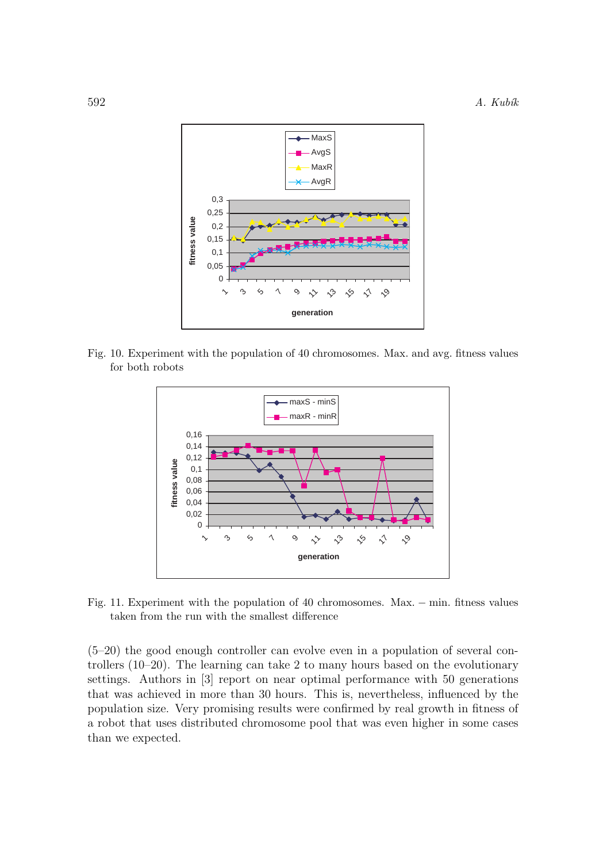

Fig. 10. Experiment with the population of 40 chromosomes. Max. and avg. fitness values for both robots



Fig. 11. Experiment with the population of 40 chromosomes. Max. − min. fitness values taken from the run with the smallest difference

(5–20) the good enough controller can evolve even in a population of several controllers (10–20). The learning can take 2 to many hours based on the evolutionary settings. Authors in [3] report on near optimal performance with 50 generations that was achieved in more than 30 hours. This is, nevertheless, influenced by the population size. Very promising results were confirmed by real growth in fitness of a robot that uses distributed chromosome pool that was even higher in some cases than we expected.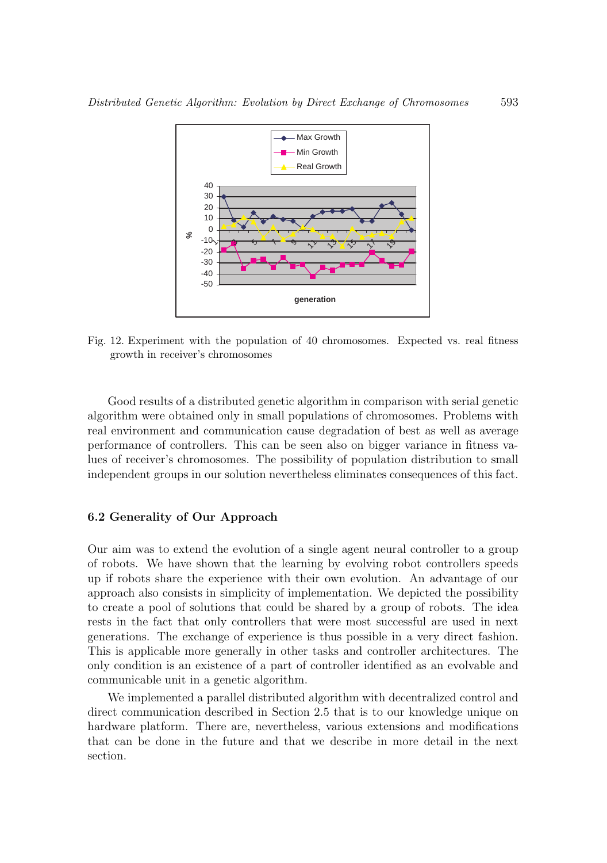

Fig. 12. Experiment with the population of 40 chromosomes. Expected vs. real fitness growth in receiver's chromosomes

Good results of a distributed genetic algorithm in comparison with serial genetic algorithm were obtained only in small populations of chromosomes. Problems with real environment and communication cause degradation of best as well as average performance of controllers. This can be seen also on bigger variance in fitness values of receiver's chromosomes. The possibility of population distribution to small independent groups in our solution nevertheless eliminates consequences of this fact.

#### 6.2 Generality of Our Approach

Our aim was to extend the evolution of a single agent neural controller to a group of robots. We have shown that the learning by evolving robot controllers speeds up if robots share the experience with their own evolution. An advantage of our approach also consists in simplicity of implementation. We depicted the possibility to create a pool of solutions that could be shared by a group of robots. The idea rests in the fact that only controllers that were most successful are used in next generations. The exchange of experience is thus possible in a very direct fashion. This is applicable more generally in other tasks and controller architectures. The only condition is an existence of a part of controller identified as an evolvable and communicable unit in a genetic algorithm.

We implemented a parallel distributed algorithm with decentralized control and direct communication described in Section 2.5 that is to our knowledge unique on hardware platform. There are, nevertheless, various extensions and modifications that can be done in the future and that we describe in more detail in the next section.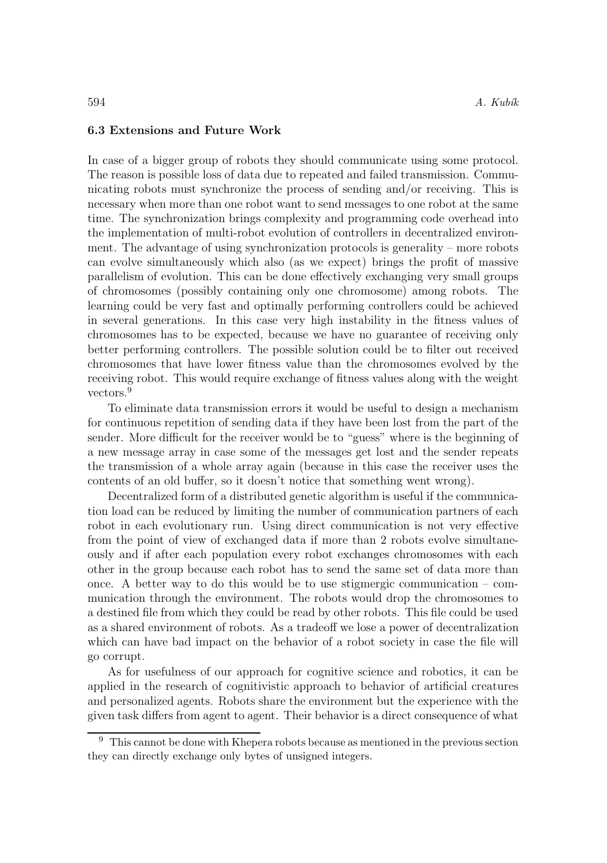## 6.3 Extensions and Future Work

In case of a bigger group of robots they should communicate using some protocol. The reason is possible loss of data due to repeated and failed transmission. Communicating robots must synchronize the process of sending and/or receiving. This is necessary when more than one robot want to send messages to one robot at the same time. The synchronization brings complexity and programming code overhead into the implementation of multi-robot evolution of controllers in decentralized environment. The advantage of using synchronization protocols is generality – more robots can evolve simultaneously which also (as we expect) brings the profit of massive parallelism of evolution. This can be done effectively exchanging very small groups of chromosomes (possibly containing only one chromosome) among robots. The learning could be very fast and optimally performing controllers could be achieved in several generations. In this case very high instability in the fitness values of chromosomes has to be expected, because we have no guarantee of receiving only better performing controllers. The possible solution could be to filter out received chromosomes that have lower fitness value than the chromosomes evolved by the receiving robot. This would require exchange of fitness values along with the weight vectors.<sup>9</sup>

To eliminate data transmission errors it would be useful to design a mechanism for continuous repetition of sending data if they have been lost from the part of the sender. More difficult for the receiver would be to "guess" where is the beginning of a new message array in case some of the messages get lost and the sender repeats the transmission of a whole array again (because in this case the receiver uses the contents of an old buffer, so it doesn't notice that something went wrong).

Decentralized form of a distributed genetic algorithm is useful if the communication load can be reduced by limiting the number of communication partners of each robot in each evolutionary run. Using direct communication is not very effective from the point of view of exchanged data if more than 2 robots evolve simultaneously and if after each population every robot exchanges chromosomes with each other in the group because each robot has to send the same set of data more than once. A better way to do this would be to use stigmergic communication – communication through the environment. The robots would drop the chromosomes to a destined file from which they could be read by other robots. This file could be used as a shared environment of robots. As a tradeoff we lose a power of decentralization which can have bad impact on the behavior of a robot society in case the file will go corrupt.

As for usefulness of our approach for cognitive science and robotics, it can be applied in the research of cognitivistic approach to behavior of artificial creatures and personalized agents. Robots share the environment but the experience with the given task differs from agent to agent. Their behavior is a direct consequence of what

<sup>9</sup> This cannot be done with Khepera robots because as mentioned in the previous section they can directly exchange only bytes of unsigned integers.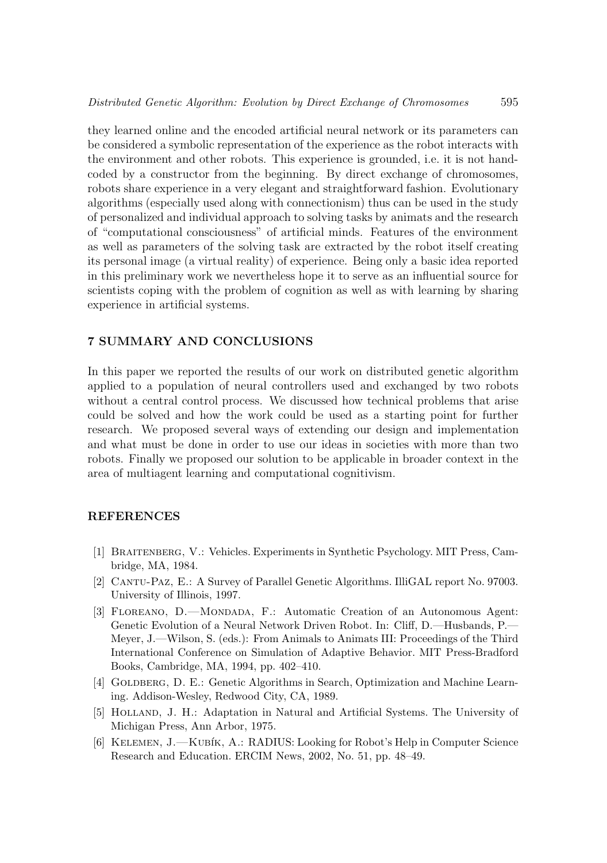they learned online and the encoded artificial neural network or its parameters can be considered a symbolic representation of the experience as the robot interacts with the environment and other robots. This experience is grounded, i.e. it is not handcoded by a constructor from the beginning. By direct exchange of chromosomes, robots share experience in a very elegant and straightforward fashion. Evolutionary algorithms (especially used along with connectionism) thus can be used in the study of personalized and individual approach to solving tasks by animats and the research of "computational consciousness" of artificial minds. Features of the environment as well as parameters of the solving task are extracted by the robot itself creating its personal image (a virtual reality) of experience. Being only a basic idea reported in this preliminary work we nevertheless hope it to serve as an influential source for scientists coping with the problem of cognition as well as with learning by sharing experience in artificial systems.

# 7 SUMMARY AND CONCLUSIONS

In this paper we reported the results of our work on distributed genetic algorithm applied to a population of neural controllers used and exchanged by two robots without a central control process. We discussed how technical problems that arise could be solved and how the work could be used as a starting point for further research. We proposed several ways of extending our design and implementation and what must be done in order to use our ideas in societies with more than two robots. Finally we proposed our solution to be applicable in broader context in the area of multiagent learning and computational cognitivism.

## **REFERENCES**

- [1] Braitenberg, V.: Vehicles. Experiments in Synthetic Psychology. MIT Press, Cambridge, MA, 1984.
- [2] Cantu-Paz, E.: A Survey of Parallel Genetic Algorithms. IlliGAL report No. 97003. University of Illinois, 1997.
- [3] Floreano, D.—Mondada, F.: Automatic Creation of an Autonomous Agent: Genetic Evolution of a Neural Network Driven Robot. In: Cliff, D.—Husbands, P.— Meyer, J.—Wilson, S. (eds.): From Animals to Animats III: Proceedings of the Third International Conference on Simulation of Adaptive Behavior. MIT Press-Bradford Books, Cambridge, MA, 1994, pp. 402–410.
- [4] GOLDBERG, D. E.: Genetic Algorithms in Search, Optimization and Machine Learning. Addison-Wesley, Redwood City, CA, 1989.
- [5] Holland, J. H.: Adaptation in Natural and Artificial Systems. The University of Michigan Press, Ann Arbor, 1975.
- [6] Kelemen, J.—Kub´ık, A.: RADIUS: Looking for Robot's Help in Computer Science Research and Education. ERCIM News, 2002, No. 51, pp. 48–49.